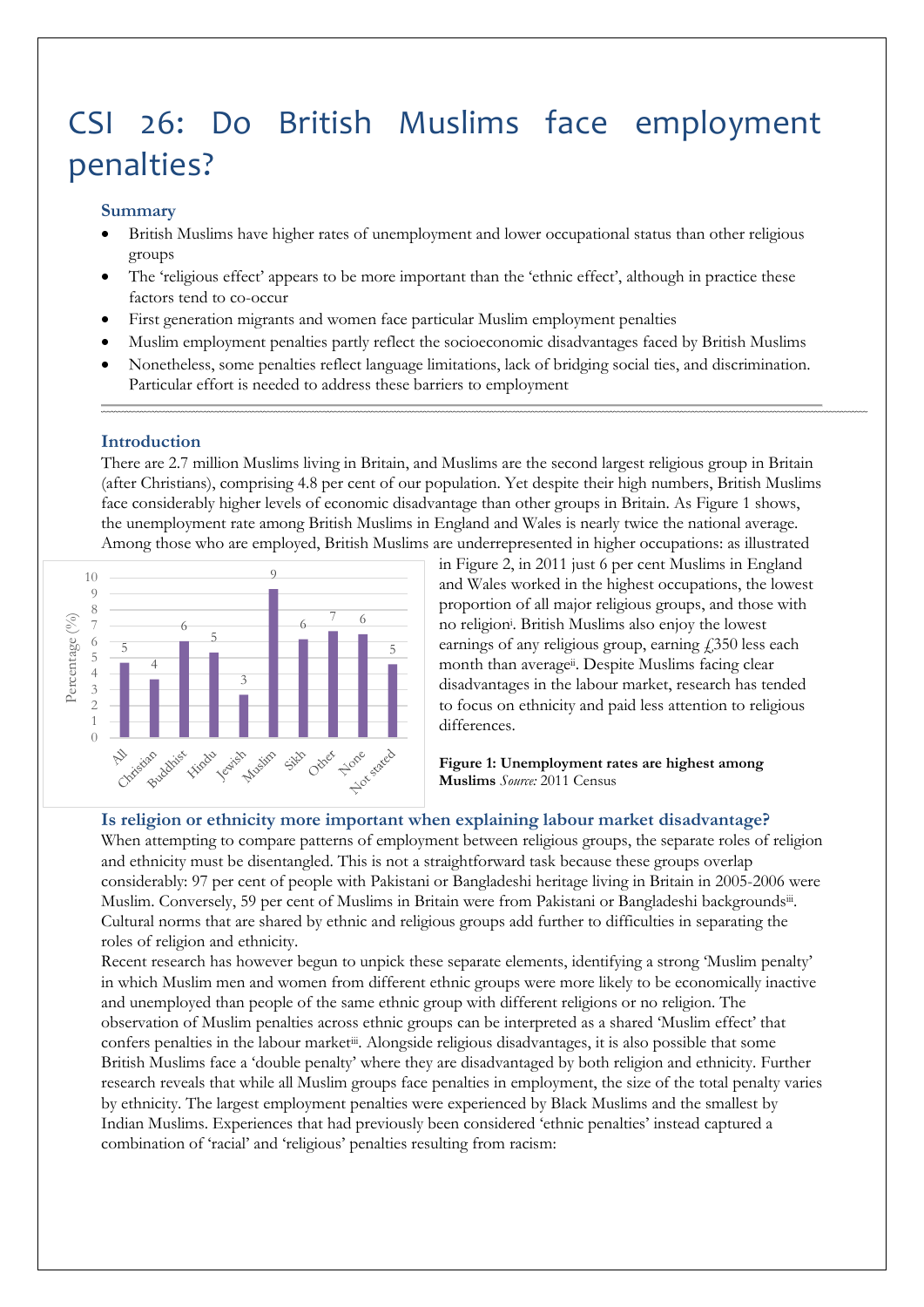# CSI 26: Do British Muslims face employment penalties?

#### **Summary**

- British Muslims have higher rates of unemployment and lower occupational status than other religious groups
- The 'religious effect' appears to be more important than the 'ethnic effect', although in practice these factors tend to co-occur
- First generation migrants and women face particular Muslim employment penalties
- Muslim employment penalties partly reflect the socioeconomic disadvantages faced by British Muslims
- Nonetheless, some penalties reflect language limitations, lack of bridging social ties, and discrimination. Particular effort is needed to address these barriers to employment

#### **Introduction**

There are 2.7 million Muslims living in Britain, and Muslims are the second largest religious group in Britain (after Christians), comprising 4.8 per cent of our population. Yet despite their high numbers, British Muslims face considerably higher levels of economic disadvantage than other groups in Britain. As Figure 1 shows, the unemployment rate among British Muslims in England and Wales is nearly twice the national average. Among those who are employed, British Muslims are underrepresented in higher occupations: as illustrated



in Figure 2, in 2011 just 6 per cent Muslims in England and Wales worked in the highest occupations, the lowest proportion of all major religious groups, and those with no religion<sup>i</sup> . British Muslims also enjoy the lowest earnings of any religious group, earning  $\ddot{\text{1}}$  350 less each month than average<sup>ii</sup>. Despite Muslims facing clear disadvantages in the labour market, research has tended to focus on ethnicity and paid less attention to religious differences.

<span id="page-0-1"></span><span id="page-0-0"></span>**Figure 1: Unemployment rates are highest among Muslims** *Source:* 2011 Census

#### **Is religion or ethnicity more important when explaining labour market disadvantage?**

When attempting to compare patterns of employment between religious groups, the separate roles of religion and ethnicity must be disentangled. This is not a straightforward task because these groups overlap considerably: 97 per cent of people with Pakistani or Bangladeshi heritage living in Britain in 2005-2006 were Muslim. Conversely, 59 per cent of Muslims in Britain were from Pakistani or Bangladeshi backgroundsii. Cultural norms that are shared by ethnic and religious groups add further to difficulties in separating the roles of religion and ethnicity.

Recent research has however begun to unpick these separate elements, identifying a strong 'Muslim penalty' in which Muslim men and women from different ethnic groups were more likely to be economically inactive and unemployed than people of the same ethnic group with different religions or no religion. The observation of Muslim penalties across ethnic groups can be interpreted as a shared 'Muslim effect' that confers penalties in the labour market<sup>[iii](#page-0-0)</sup>. Alongside religious disadvantages, it is also possible that some British Muslims face a 'double penalty' where they are disadvantaged by both religion and ethnicity. Further research reveals that while all Muslim groups face penalties in employment, the size of the total penalty varies by ethnicity. The largest employment penalties were experienced by Black Muslims and the smallest by Indian Muslims. Experiences that had previously been considered 'ethnic penalties' instead captured a combination of 'racial' and 'religious' penalties resulting from racism: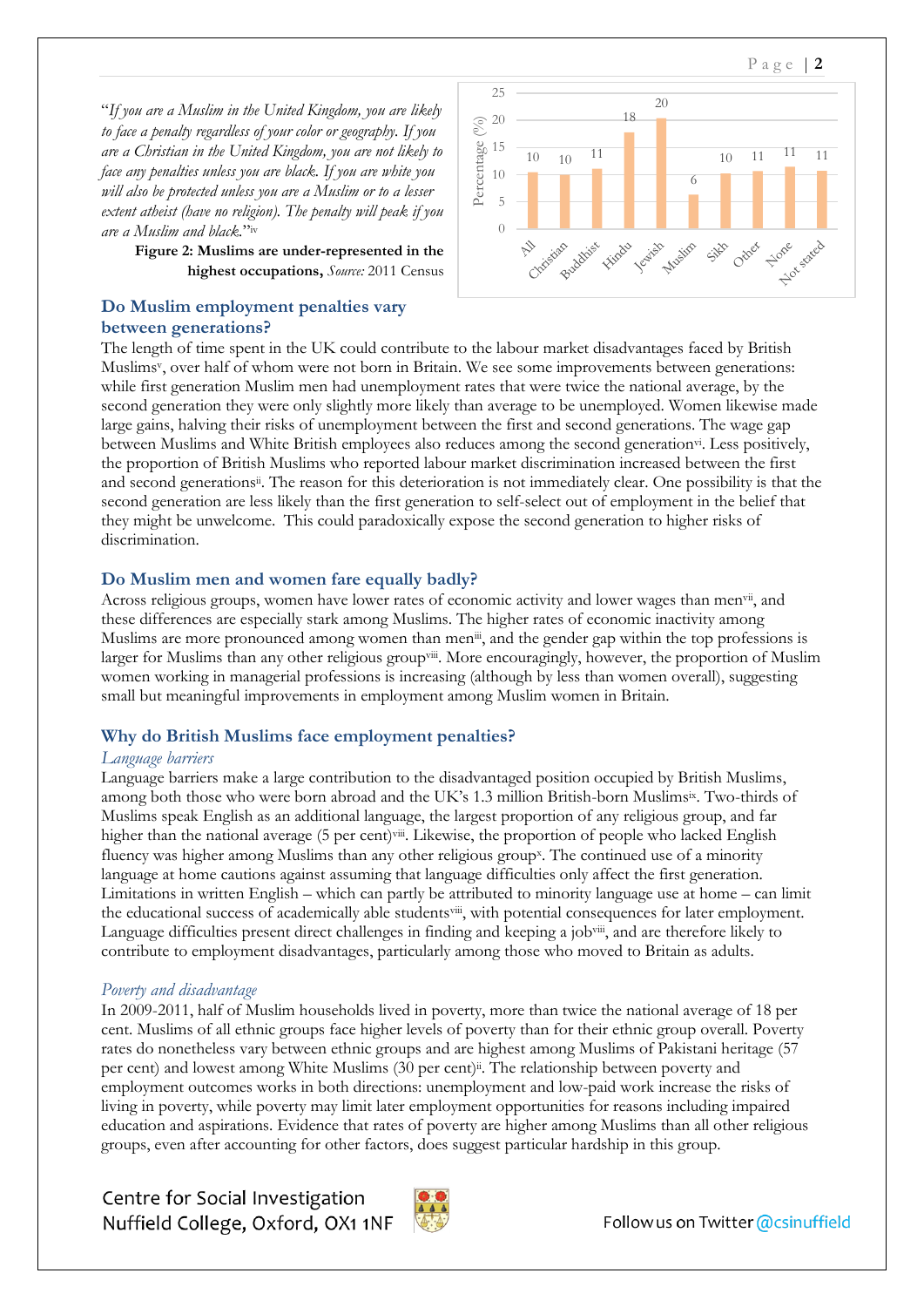"*If you are a Muslim in the United Kingdom, you are likely to face a penalty regardless of your color or geography. If you are a Christian in the United Kingdom, you are not likely to face any penalties unless you are black. If you are white you will also be protected unless you are a Muslim or to a lesser extent atheist (have no religion). The penalty will peak if you are a Muslim and black.*" iv

> **Figure 2: Muslims are under-represented in the highest occupations,** *Source:* 2011 Census

## **Do Muslim employment penalties vary between generations?**



The length of time spent in the UK could contribute to the labour market disadvantages faced by British Muslims<sup>v</sup> , over half of whom were not born in Britain. We see some improvements between generations: while first generation Muslim men had unemployment rates that were twice the national average, by the second generation they were only slightly more likely than average to be unemployed. Women likewise made large gains, halving their risks of unemployment between the first and second generations. The wage gap between Muslims and White British employees also reduces among the second generation<sup>vi</sup>. Less positively, the proportion of British Muslims who reported labour market discrimination increased between the first and second generation[s](#page-0-1)ii. The reason for this deterioration is not immediately clear. One possibility is that the second generation are less likely than the first generation to self-select out of employment in the belief that they might be unwelcome. This could paradoxically expose the second generation to higher risks of discrimination.

# **Do Muslim men and women fare equally badly?**

<span id="page-1-0"></span>Across religious groups, women have lower rates of economic activity and lower wages than men<sup>vii</sup>, and these differences are especially stark among Muslims. The higher rates of economic inactivity among Muslims are more pronounced among women than men<sup>[iii](#page-0-0)</sup>, and the gender gap within the top professions is larger for Muslims than any other religious groupviii. More encouragingly, however, the proportion of Muslim women working in managerial professions is increasing (although by less than women overall), suggesting small but meaningful improvements in employment among Muslim women in Britain.

# **Why do British Muslims face employment penalties?**

## *Language barriers*

Language barriers make a large contribution to the disadvantaged position occupied by British Muslims, among both those who were born abroad and the UK's 1.3 million British-born Muslimsix . Two-thirds of Muslims speak English as an additional language, the largest proportion of any religious group, and far higher than the national average (5 per cent)[viii](#page-1-0). Likewise, the proportion of people who lacked English fluency was higher among Muslims than any other religious group<sup>x</sup>. The continued use of a minority language at home cautions against assuming that language difficulties only affect the first generation. Limitations in written English – which can partly be attributed to minority language use at home – can limit the educational success of academically able students[viii](#page-1-0), with potential consequences for later employment. Language difficulties present direct challenges in finding and keeping a job[viii](#page-1-0), and are therefore likely to contribute to employment disadvantages, particularly among those who moved to Britain as adults.

## *Poverty and disadvantage*

In 2009-2011, half of Muslim households lived in poverty, more than twice the national average of 18 per cent. Muslims of all ethnic groups face higher levels of poverty than for their ethnic group overall. Poverty rates do nonetheless vary between ethnic groups and are highest among Muslims of Pakistani heritage (57 per cent) and lowest among White Muslims (30 per cent)<sup>ii</sup>[.](#page-0-1) The relationship between poverty and employment outcomes works in both directions: unemployment and low-paid work increase the risks of living in poverty, while poverty may limit later employment opportunities for reasons including impaired education and aspirations. Evidence that rates of poverty are higher among Muslims than all other religious groups, even after accounting for other factors, does suggest particular hardship in this group.

Centre for Social Investigation Nuffield College, Oxford, OX1 1NF



Followus on Twitter @csinuffield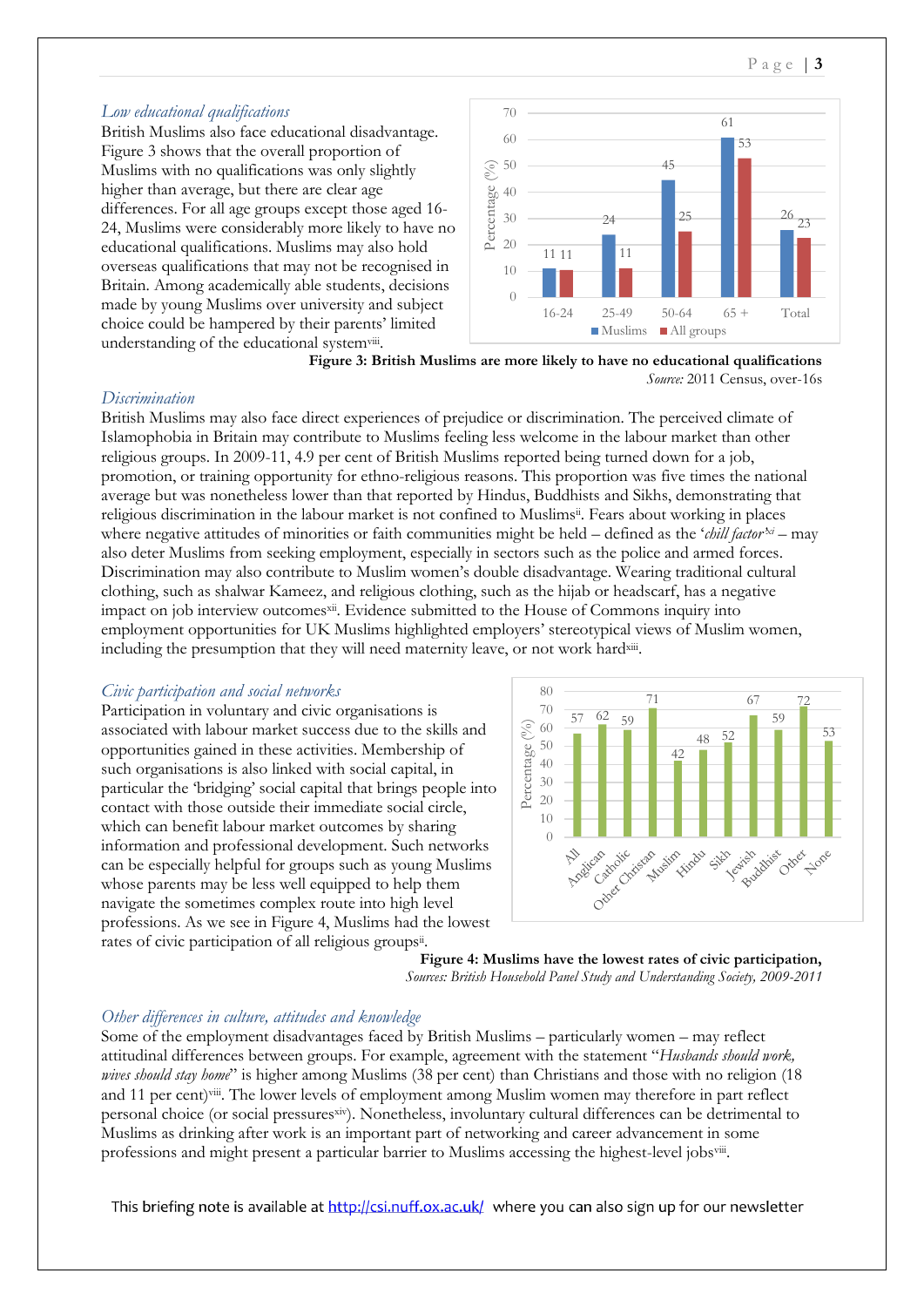# *Low educational qualifications*

British Muslims also face educational disadvantage. Figure 3 shows that the overall proportion of Muslims with no qualifications was only slightly higher than average, but there are clear age differences. For all age groups except those aged 16- 24, Muslims were considerably more likely to have no educational qualifications. Muslims may also hold overseas qualifications that may not be recognised in Britain. Among academically able students, decisions made by young Muslims over university and subject choice could be hampered by their parents' limited understanding of the educational system[viii](#page-1-0).



**Figure 3: British Muslims are more likely to have no educational qualifications** *Source:* 2011 Census, over-16s

# *Discrimination*

British Muslims may also face direct experiences of prejudice or discrimination. The perceived climate of Islamophobia in Britain may contribute to Muslims feeling less welcome in the labour market than other religious groups. In 2009-11, 4.9 per cent of British Muslims reported being turned down for a job, promotion, or training opportunity for ethno-religious reasons. This proportion was five times the national average but was nonetheless lower than that reported by Hindus, Buddhists and Sikhs, demonstrating that religious discrimination in the labour market is not confined to Muslims<sup>ii</sup>[.](#page-0-1) Fears about working in places where negative attitudes of minorities or faith communities might be held – defined as the '*chill factor'xi* – may also deter Muslims from seeking employment, especially in sectors such as the police and armed forces. Discrimination may also contribute to Muslim women's double disadvantage. Wearing traditional cultural clothing, such as shalwar Kameez, and religious clothing, such as the hijab or headscarf, has a negative impact on job interview outcomesx<sup>ii</sup>. Evidence submitted to the House of Commons inquiry into employment opportunities for UK Muslims highlighted employers' stereotypical views of Muslim women, including the presumption that they will need maternity leave, or not work hardxiii.

## *Civic participation and social networks*

Participation in voluntary and civic organisations is associated with labour market success due to the skills and opportunities gained in these activities. Membership of such organisations is also linked with social capital, in particular the 'bridging' social capital that brings people into contact with those outside their immediate social circle, which can benefit labour market outcomes by sharing information and professional development. Such networks can be especially helpful for groups such as young Muslims whose parents may be less well equipped to help them navigate the sometimes complex route into high level professions. As we see in Figure 4, Muslims had the lowest rates of civic participation of all religious groups<sup>ii</sup>[.](#page-0-1)



**Figure 4: Muslims have the lowest rates of civic participation,** *Sources: British Household Panel Study and Understanding Society, 2009-2011*

## *Other differences in culture, attitudes and knowledge*

Some of the employment disadvantages faced by British Muslims – particularly women – may reflect attitudinal differences between groups. For example, agreement with the statement "*Husbands should work, wives should stay home*" is higher among Muslims (38 per cent) than Christians and those with no religion (18 and 11 per cent)[viii](#page-1-0). The lower levels of employment among Muslim women may therefore in part reflect personal choice (or social pressuresxiv). Nonetheless, involuntary cultural differences can be detrimental to Muslims as drinking after work is an important part of networking and career advancement in some professions and might present a particular barrier to Muslims accessing the highest-level jobs[viii](#page-1-0).

This briefing note is available at http://csi.nuff.ox.ac.uk/ where you can also sign up for our newsletter